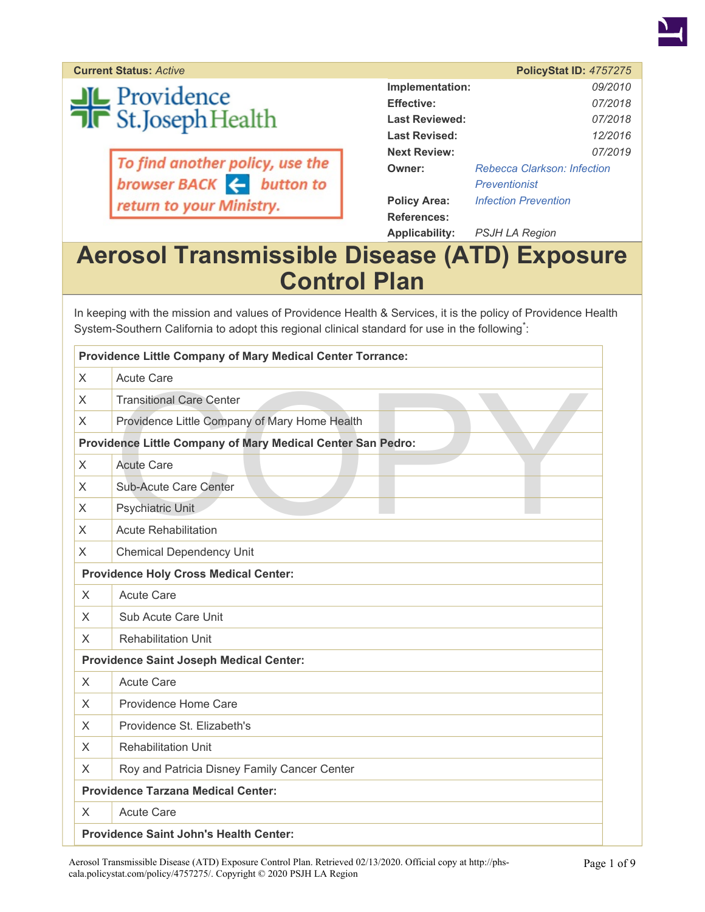

**Current Status: Active** 

**JL** Providence<br>T**R** St.Joseph Health

To find another policy, use the<br>browser BACK  $\leftarrow$  button to return to your Ministry.

|                       | <b>PolicyStat ID: 4757275</b> |  |
|-----------------------|-------------------------------|--|
| Implementation:       | 09/2010                       |  |
| <b>Effective:</b>     | 07/2018                       |  |
| <b>Last Reviewed:</b> | 07/2018                       |  |
| Last Revised:         | 12/2016                       |  |
| <b>Next Review:</b>   | 07/2019                       |  |
| Owner:                | Rebecca Clarkson: Infection   |  |
|                       | Preventionist                 |  |
| <b>Policy Area:</b>   | <b>Infection Prevention</b>   |  |
| References:           |                               |  |
| Applicability:        | PSJH LA Region                |  |

### **Aerosol Transmissible Disease (ATD) Exposure Control Plan**

In keeping with the mission and values of Providence Health & Services, it is the policy of Providence Health System-Southern California to adopt this regional clinical standard for use in the following<sup>\*</sup>:

|          | <b>Providence Little Company of Mary Medical Center Torrance:</b> |
|----------|-------------------------------------------------------------------|
| X        | <b>Acute Care</b>                                                 |
| X        | <b>Transitional Care Center</b>                                   |
| X        | Providence Little Company of Mary Home Health                     |
|          | Providence Little Company of Mary Medical Center San Pedro:       |
| X        | <b>Acute Care</b>                                                 |
| X        | Sub-Acute Care Center                                             |
| X        | <b>Psychiatric Unit</b>                                           |
| X        | <b>Acute Rehabilitation</b>                                       |
| X        | <b>Chemical Dependency Unit</b>                                   |
|          | <b>Providence Holy Cross Medical Center:</b>                      |
| $\times$ | <b>Acute Care</b>                                                 |
| X        | Sub Acute Care Unit                                               |
| X        | <b>Rehabilitation Unit</b>                                        |
|          | <b>Providence Saint Joseph Medical Center:</b>                    |
| $\times$ | <b>Acute Care</b>                                                 |
| X        | Providence Home Care                                              |
| X        | Providence St. Elizabeth's                                        |
| X        | <b>Rehabilitation Unit</b>                                        |
| X        | Roy and Patricia Disney Family Cancer Center                      |
|          | <b>Providence Tarzana Medical Center:</b>                         |
| X        | <b>Acute Care</b>                                                 |
|          | <b>Providence Saint John's Health Center:</b>                     |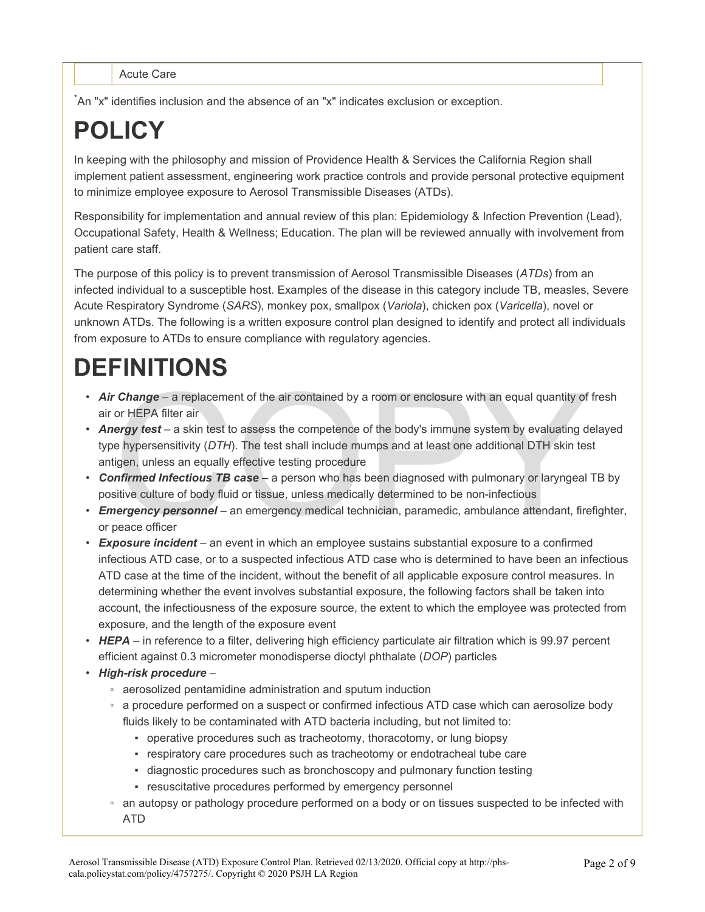Acute Care

\*An "x" identifies inclusion and the absence of an "x" indicates exclusion or exception.

# **POLICY**

In keeping with the philosophy and mission of Providence Health & Services the California Region shall implement patient assessment, engineering work practice controls and provide personal protective equipment to minimize employee exposure to Aerosol Transmissible Diseases (ATDs).

Responsibility for implementation and annual review of this plan: Epidemiology & Infection Prevention (Lead), Occupational Safety, Health & Wellness; Education. The plan will be reviewed annually with involvement from patient care staff.

The purpose of this policy is to prevent transmission of Aerosol Transmissible Diseases (*ATDs*) from an infected individual to a susceptible host. Examples of the disease in this category include TB, measles, Severe Acute Respiratory Syndrome (*SARS*), monkey pox, smallpox (*Variola*), chicken pox (*Varicella*), novel or unknown ATDs. The following is a written exposure control plan designed to identify and protect all individuals from exposure to ATDs to ensure compliance with regulatory agencies.

# **DEFINITIONS**

- *Air Change* a replacement of the air contained by a room or enclosure with an equal quantity of fresh air or HEPA filter air
- **Change** a replacement of the air contained by a room or enclosure with an equal quantity of<br>or HEPA filter air<br>ergy test a skin test to assess the competence of the body's immune system by evaluating d<br>e hypersensiti • *Anergy test* – a skin test to assess the competence of the body's immune system by evaluating delayed type hypersensitivity (*DTH*). The test shall include mumps and at least one additional DTH skin test antigen, unless an equally effective testing procedure
- *Confirmed Infectious TB case –* a person who has been diagnosed with pulmonary or laryngeal TB by positive culture of body fluid or tissue, unless medically determined to be non-infectious
- *Emergency personnel* an emergency medical technician, paramedic, ambulance attendant, firefighter, or peace officer
- *Exposure incident* an event in which an employee sustains substantial exposure to a confirmed infectious ATD case, or to a suspected infectious ATD case who is determined to have been an infectious ATD case at the time of the incident, without the benefit of all applicable exposure control measures. In determining whether the event involves substantial exposure, the following factors shall be taken into account, the infectiousness of the exposure source, the extent to which the employee was protected from exposure, and the length of the exposure event
- *HEPA* in reference to a filter, delivering high efficiency particulate air filtration which is 99.97 percent efficient against 0.3 micrometer monodisperse dioctyl phthalate (*DOP*) particles
- *High-risk procedure*
	- aerosolized pentamidine administration and sputum induction
	- a procedure performed on a suspect or confirmed infectious ATD case which can aerosolize body fluids likely to be contaminated with ATD bacteria including, but not limited to:
		- operative procedures such as tracheotomy, thoracotomy, or lung biopsy
		- respiratory care procedures such as tracheotomy or endotracheal tube care
		- diagnostic procedures such as bronchoscopy and pulmonary function testing
		- resuscitative procedures performed by emergency personnel
	- an autopsy or pathology procedure performed on a body or on tissues suspected to be infected with ATD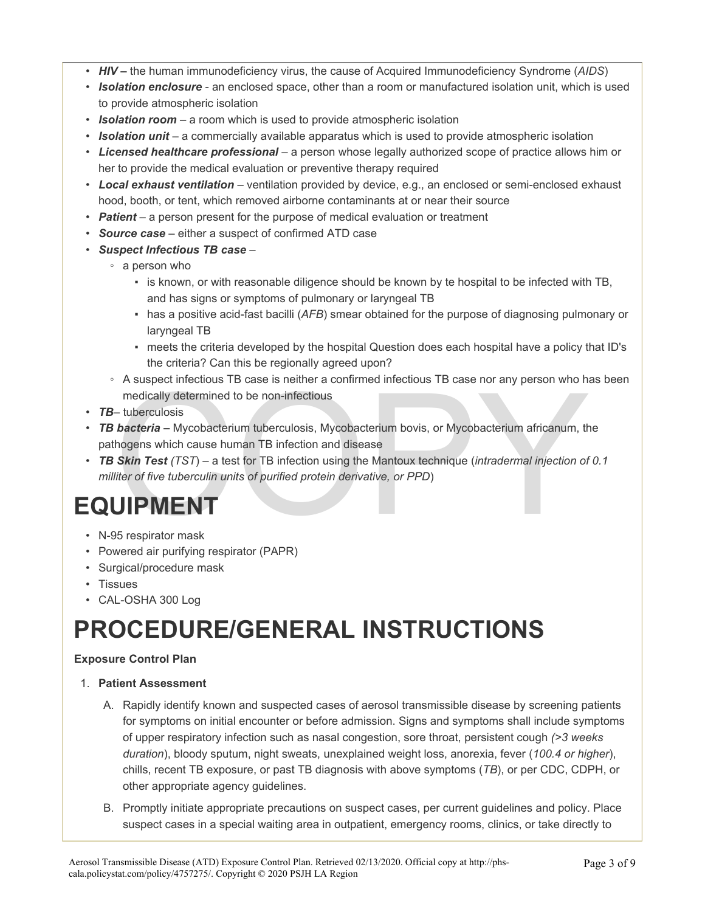- *HIV –* the human immunodeficiency virus, the cause of Acquired Immunodeficiency Syndrome (*AIDS*)
- *Isolation enclosure* an enclosed space, other than a room or manufactured isolation unit, which is used to provide atmospheric isolation
- *Isolation room* a room which is used to provide atmospheric isolation
- *Isolation unit* a commercially available apparatus which is used to provide atmospheric isolation
- *Licensed healthcare professional* a person whose legally authorized scope of practice allows him or her to provide the medical evaluation or preventive therapy required
- *Local exhaust ventilation* ventilation provided by device, e.g., an enclosed or semi-enclosed exhaust hood, booth, or tent, which removed airborne contaminants at or near their source
- *Patient* a person present for the purpose of medical evaluation or treatment
- *Source case* either a suspect of confirmed ATD case
- *Suspect Infectious TB case*
	- a person who
		- . is known, or with reasonable diligence should be known by te hospital to be infected with TB, and has signs or symptoms of pulmonary or laryngeal TB
		- has a positive acid-fast bacilli (*AFB*) smear obtained for the purpose of diagnosing pulmonary or laryngeal TB
		- meets the criteria developed by the hospital Question does each hospital have a policy that ID's the criteria? Can this be regionally agreed upon?
	- A suspect infectious TB case is neither a confirmed infectious TB case nor any person who has been medically determined to be non-infectious
- *TB* tuberculosis
- A suspect infectious TB case is neither a confirmed infectious TB case nor any person who has<br>
medically determined to be non-infectious<br>
 tuberculosis<br> **bacteria** Mycobacterium tuberculosis, Mycobacterium bovis, or Myc • *TB bacteria –* Mycobacterium tuberculosis, Mycobacterium bovis, or Mycobacterium africanum, the pathogens which cause human TB infection and disease
- *TB Skin Test (TST*) a test for TB infection using the Mantoux technique (*intradermal injection of 0.1 milliter of five tuberculin units of purified protein derivative, or PPD*)

## **EQUIPMENT**

- N-95 respirator mask
- Powered air purifying respirator (PAPR)
- Surgical/procedure mask
- Tissues
- CAL-OSHA 300 Log

## **PROCEDURE/GENERAL INSTRUCTIONS**

#### **Exposure Control Plan**

#### 1. **Patient Assessment**

- A. Rapidly identify known and suspected cases of aerosol transmissible disease by screening patients for symptoms on initial encounter or before admission. Signs and symptoms shall include symptoms of upper respiratory infection such as nasal congestion, sore throat, persistent cough *(>3 weeks duration*), bloody sputum, night sweats, unexplained weight loss, anorexia, fever (*100.4 or higher*), chills, recent TB exposure, or past TB diagnosis with above symptoms (*TB*), or per CDC, CDPH, or other appropriate agency guidelines.
- B. Promptly initiate appropriate precautions on suspect cases, per current guidelines and policy. Place suspect cases in a special waiting area in outpatient, emergency rooms, clinics, or take directly to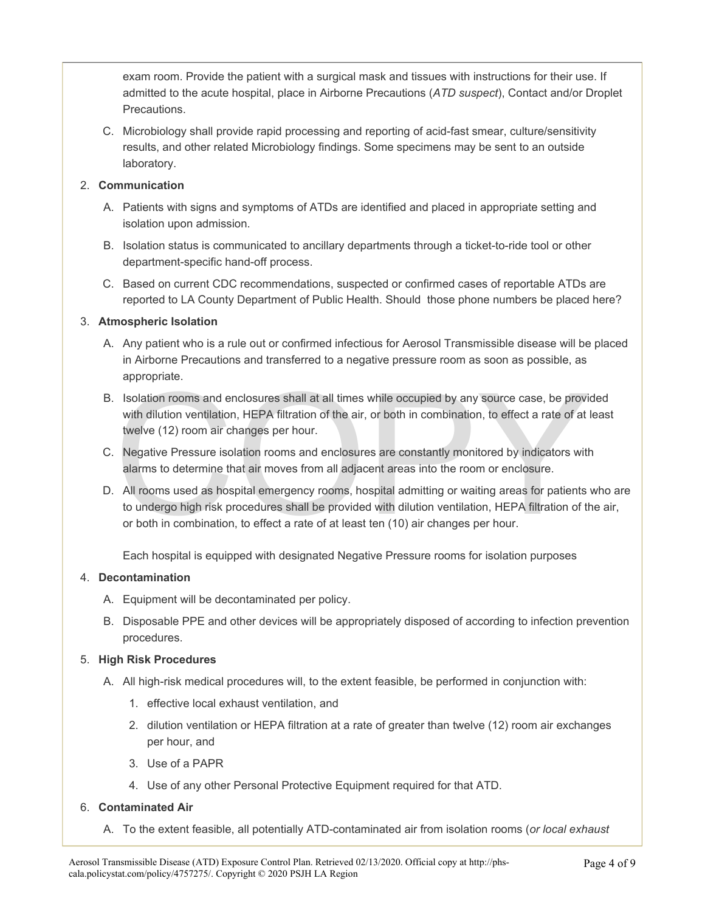exam room. Provide the patient with a surgical mask and tissues with instructions for their use. If admitted to the acute hospital, place in Airborne Precautions (*ATD suspect*), Contact and/or Droplet Precautions.

C. Microbiology shall provide rapid processing and reporting of acid-fast smear, culture/sensitivity results, and other related Microbiology findings. Some specimens may be sent to an outside laboratory.

#### 2. **Communication**

- A. Patients with signs and symptoms of ATDs are identified and placed in appropriate setting and isolation upon admission.
- B. Isolation status is communicated to ancillary departments through a ticket-to-ride tool or other department-specific hand-off process.
- C. Based on current CDC recommendations, suspected or confirmed cases of reportable ATDs are reported to LA County Department of Public Health. Should those phone numbers be placed here?

#### 3. **Atmospheric Isolation**

- A. Any patient who is a rule out or confirmed infectious for Aerosol Transmissible disease will be placed in Airborne Precautions and transferred to a negative pressure room as soon as possible, as appropriate.
- solation rooms and enclosures shall at all times while occupied by any source case, be provided with dilution ventilation, HEPA filtration of the air, or both in combination, to effect a rate of at twelve (12) room air cha B. Isolation rooms and enclosures shall at all times while occupied by any source case, be provided with dilution ventilation, HEPA filtration of the air, or both in combination, to effect a rate of at least twelve (12) room air changes per hour.
- C. Negative Pressure isolation rooms and enclosures are constantly monitored by indicators with alarms to determine that air moves from all adjacent areas into the room or enclosure.
- D. All rooms used as hospital emergency rooms, hospital admitting or waiting areas for patients who are to undergo high risk procedures shall be provided with dilution ventilation, HEPA filtration of the air, or both in combination, to effect a rate of at least ten (10) air changes per hour.

Each hospital is equipped with designated Negative Pressure rooms for isolation purposes

#### 4. **Decontamination**

- A. Equipment will be decontaminated per policy.
- B. Disposable PPE and other devices will be appropriately disposed of according to infection prevention procedures.

#### 5. **High Risk Procedures**

- A. All high-risk medical procedures will, to the extent feasible, be performed in conjunction with:
	- 1. effective local exhaust ventilation, and
	- 2. dilution ventilation or HEPA filtration at a rate of greater than twelve (12) room air exchanges per hour, and
	- 3. Use of a PAPR
	- 4. Use of any other Personal Protective Equipment required for that ATD.

#### 6. **Contaminated Air**

A. To the extent feasible, all potentially ATD-contaminated air from isolation rooms (*or local exhaust*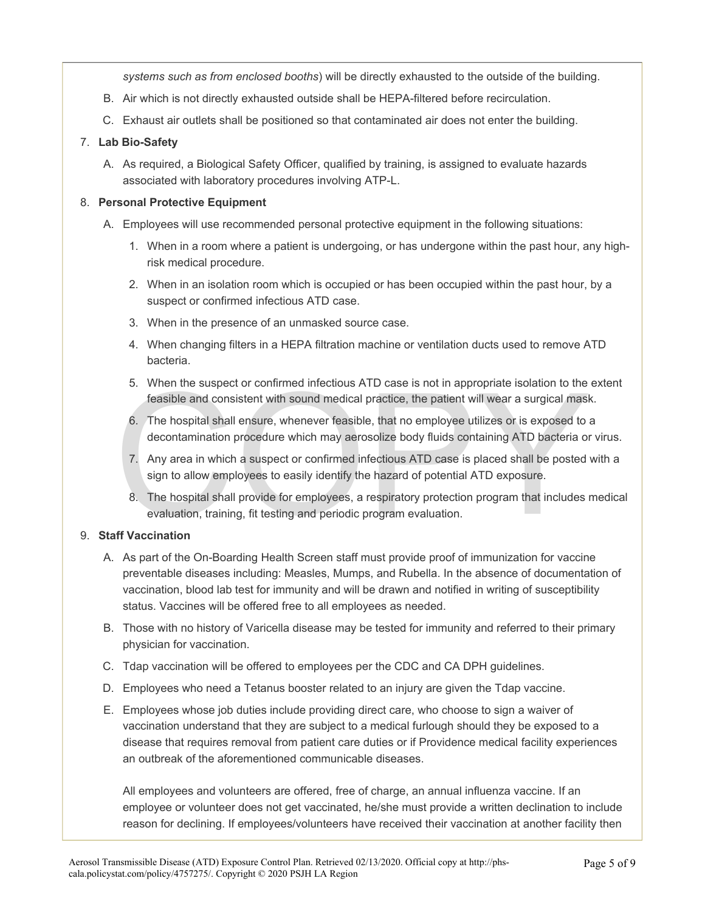*systems such as from enclosed booths*) will be directly exhausted to the outside of the building.

- B. Air which is not directly exhausted outside shall be HEPA-filtered before recirculation.
- C. Exhaust air outlets shall be positioned so that contaminated air does not enter the building.

#### 7. **Lab Bio-Safety**

A. As required, a Biological Safety Officer, qualified by training, is assigned to evaluate hazards associated with laboratory procedures involving ATP-L.

#### 8. **Personal Protective Equipment**

- A. Employees will use recommended personal protective equipment in the following situations:
	- 1. When in a room where a patient is undergoing, or has undergone within the past hour, any highrisk medical procedure.
	- 2. When in an isolation room which is occupied or has been occupied within the past hour, by a suspect or confirmed infectious ATD case.
	- 3. When in the presence of an unmasked source case.
	- 4. When changing filters in a HEPA filtration machine or ventilation ducts used to remove ATD bacteria.
	- 5. When the suspect or confirmed infectious ATD case is not in appropriate isolation to the extent feasible and consistent with sound medical practice, the patient will wear a surgical mask.
	- 6. The hospital shall ensure, whenever feasible, that no employee utilizes or is exposed to a decontamination procedure which may aerosolize body fluids containing ATD bacteria or virus.
	- 5. When the suspect or confirmed infectious ATD case is not in appropriate isolation to the feasible and consistent with sound medical practice, the patient will wear a surgical mask of the hospital shall ensure, whenever 7. Any area in which a suspect or confirmed infectious ATD case is placed shall be posted with a sign to allow employees to easily identify the hazard of potential ATD exposure.
		- 8. The hospital shall provide for employees, a respiratory protection program that includes medical evaluation, training, fit testing and periodic program evaluation.

#### 9. **Staff Vaccination**

- A. As part of the On-Boarding Health Screen staff must provide proof of immunization for vaccine preventable diseases including: Measles, Mumps, and Rubella. In the absence of documentation of vaccination, blood lab test for immunity and will be drawn and notified in writing of susceptibility status. Vaccines will be offered free to all employees as needed.
- B. Those with no history of Varicella disease may be tested for immunity and referred to their primary physician for vaccination.
- C. Tdap vaccination will be offered to employees per the CDC and CA DPH guidelines.
- D. Employees who need a Tetanus booster related to an injury are given the Tdap vaccine.
- E. Employees whose job duties include providing direct care, who choose to sign a waiver of vaccination understand that they are subject to a medical furlough should they be exposed to a disease that requires removal from patient care duties or if Providence medical facility experiences an outbreak of the aforementioned communicable diseases.

All employees and volunteers are offered, free of charge, an annual influenza vaccine. If an employee or volunteer does not get vaccinated, he/she must provide a written declination to include reason for declining. If employees/volunteers have received their vaccination at another facility then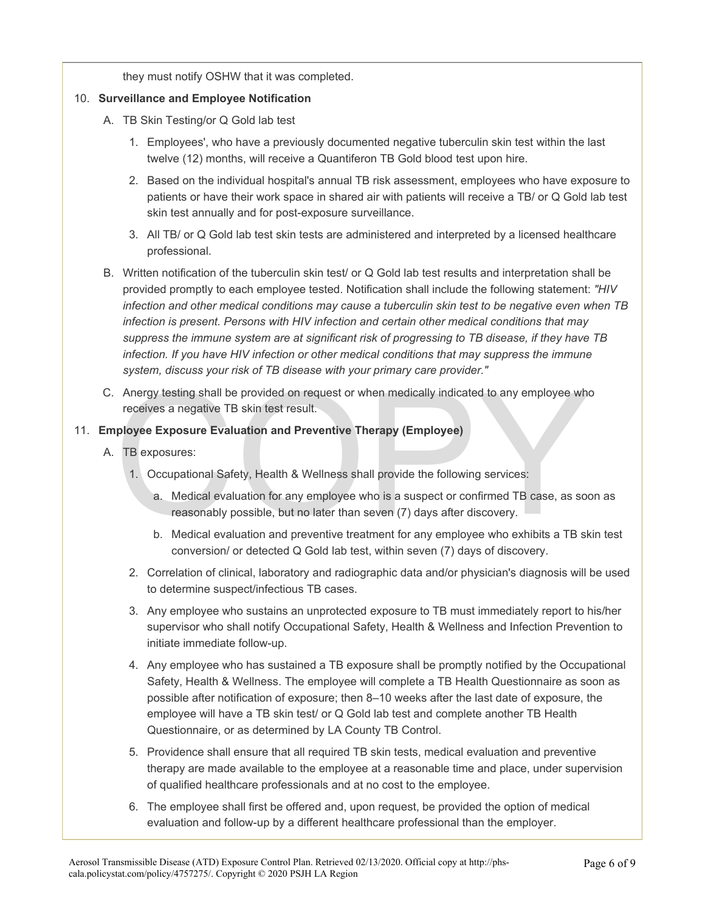they must notify OSHW that it was completed.

#### 10. **Surveillance and Employee Notification**

- A. TB Skin Testing/or Q Gold lab test
	- 1. Employees', who have a previously documented negative tuberculin skin test within the last twelve (12) months, will receive a Quantiferon TB Gold blood test upon hire.
	- 2. Based on the individual hospital's annual TB risk assessment, employees who have exposure to patients or have their work space in shared air with patients will receive a TB/ or Q Gold lab test skin test annually and for post-exposure surveillance.
	- 3. All TB/ or Q Gold lab test skin tests are administered and interpreted by a licensed healthcare professional.
- B. Written notification of the tuberculin skin test/ or Q Gold lab test results and interpretation shall be provided promptly to each employee tested. Notification shall include the following statement: *"HIV infection and other medical conditions may cause a tuberculin skin test to be negative even when TB infection is present. Persons with HIV infection and certain other medical conditions that may suppress the immune system are at significant risk of progressing to TB disease, if they have TB infection. If you have HIV infection or other medical conditions that may suppress the immune system, discuss your risk of TB disease with your primary care provider."*
- Anergy testing shall be provided on request or when medically indicated to any employee where<br>ceives a negative TB skin test result.<br> **COPY TB exposures:**<br>
TB exposures:<br>
1. Occupational Safety, Health & Wellness shall pro C. Anergy testing shall be provided on request or when medically indicated to any employee who receives a negative TB skin test result.

#### 11. **Employee Exposure Evaluation and Preventive Therapy (Employee)**

- A. TB exposures:
	- 1. Occupational Safety, Health & Wellness shall provide the following services:
		- a. Medical evaluation for any employee who is a suspect or confirmed TB case, as soon as reasonably possible, but no later than seven (7) days after discovery.
		- b. Medical evaluation and preventive treatment for any employee who exhibits a TB skin test conversion/ or detected Q Gold lab test, within seven (7) days of discovery.
	- 2. Correlation of clinical, laboratory and radiographic data and/or physician's diagnosis will be used to determine suspect/infectious TB cases.
	- 3. Any employee who sustains an unprotected exposure to TB must immediately report to his/her supervisor who shall notify Occupational Safety, Health & Wellness and Infection Prevention to initiate immediate follow-up.
	- 4. Any employee who has sustained a TB exposure shall be promptly notified by the Occupational Safety, Health & Wellness. The employee will complete a TB Health Questionnaire as soon as possible after notification of exposure; then 8–10 weeks after the last date of exposure, the employee will have a TB skin test/ or Q Gold lab test and complete another TB Health Questionnaire, or as determined by LA County TB Control.
	- 5. Providence shall ensure that all required TB skin tests, medical evaluation and preventive therapy are made available to the employee at a reasonable time and place, under supervision of qualified healthcare professionals and at no cost to the employee.
	- 6. The employee shall first be offered and, upon request, be provided the option of medical evaluation and follow-up by a different healthcare professional than the employer.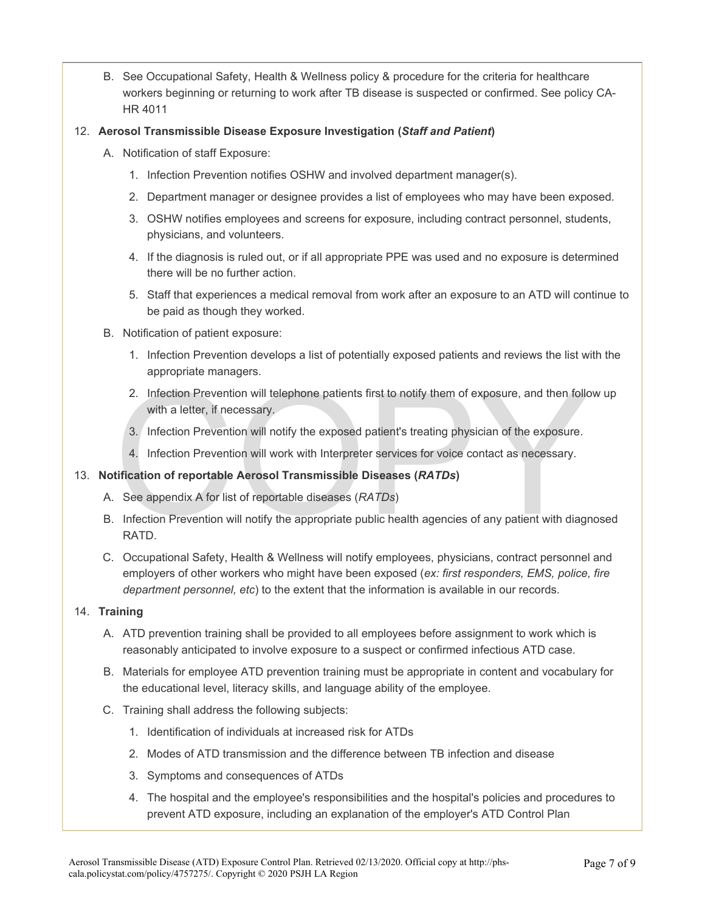- B. See Occupational Safety, Health & Wellness policy & procedure for the criteria for healthcare workers beginning or returning to work after TB disease is suspected or confirmed. See policy CA-HR 4011
- 12. **Aerosol Transmissible Disease Exposure Investigation (***Staff and Patient***)** 
	- A. Notification of staff Exposure:
		- 1. Infection Prevention notifies OSHW and involved department manager(s).
		- 2. Department manager or designee provides a list of employees who may have been exposed.
		- 3. OSHW notifies employees and screens for exposure, including contract personnel, students, physicians, and volunteers.
		- 4. If the diagnosis is ruled out, or if all appropriate PPE was used and no exposure is determined there will be no further action.
		- 5. Staff that experiences a medical removal from work after an exposure to an ATD will continue to be paid as though they worked.
	- B. Notification of patient exposure:
		- 1. Infection Prevention develops a list of potentially exposed patients and reviews the list with the appropriate managers.
		- 2. Infection Prevention will telephone patients first to notify them of exposure, and then follow up with a letter, if necessary.
		- 3. Infection Prevention will notify the exposed patient's treating physician of the exposure.
		- 4. Infection Prevention will work with Interpreter services for voice contact as necessary.

#### 13. **Notification of reportable Aerosol Transmissible Diseases (***RATDs***)**

- A. See appendix A for list of reportable diseases (*RATDs*)
- 2. Infection Prevention will telephone patients first to notify them of exposure, and then followith a letter, if necessary.<br>3. Infection Prevention will notify the exposed patient's treating physician of the exposure.<br>4. B. Infection Prevention will notify the appropriate public health agencies of any patient with diagnosed RATD.
- C. Occupational Safety, Health & Wellness will notify employees, physicians, contract personnel and employers of other workers who might have been exposed (*ex: first responders, EMS, police, fire department personnel, etc*) to the extent that the information is available in our records.

#### 14. **Training**

- A. ATD prevention training shall be provided to all employees before assignment to work which is reasonably anticipated to involve exposure to a suspect or confirmed infectious ATD case.
- B. Materials for employee ATD prevention training must be appropriate in content and vocabulary for the educational level, literacy skills, and language ability of the employee.
- C. Training shall address the following subjects:
	- 1. Identification of individuals at increased risk for ATDs
	- 2. Modes of ATD transmission and the difference between TB infection and disease
	- 3. Symptoms and consequences of ATDs
	- 4. The hospital and the employee's responsibilities and the hospital's policies and procedures to prevent ATD exposure, including an explanation of the employer's ATD Control Plan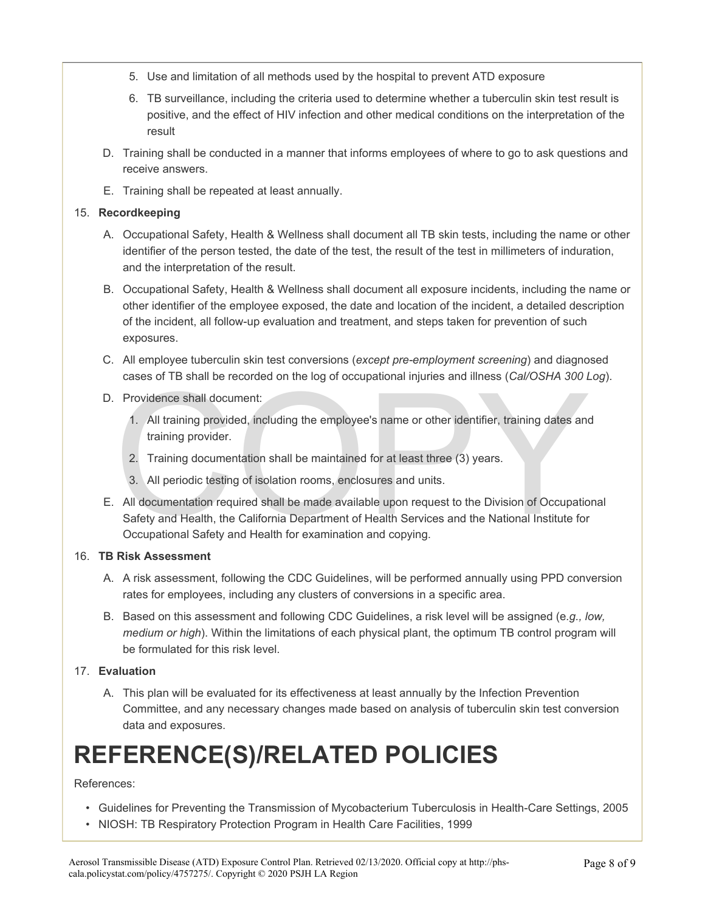- 5. Use and limitation of all methods used by the hospital to prevent ATD exposure
- 6. TB surveillance, including the criteria used to determine whether a tuberculin skin test result is positive, and the effect of HIV infection and other medical conditions on the interpretation of the result
- D. Training shall be conducted in a manner that informs employees of where to go to ask questions and receive answers.
- E. Training shall be repeated at least annually.

#### 15. **Recordkeeping**

- A. Occupational Safety, Health & Wellness shall document all TB skin tests, including the name or other identifier of the person tested, the date of the test, the result of the test in millimeters of induration, and the interpretation of the result.
- B. Occupational Safety, Health & Wellness shall document all exposure incidents, including the name or other identifier of the employee exposed, the date and location of the incident, a detailed description of the incident, all follow-up evaluation and treatment, and steps taken for prevention of such exposures.
- C. All employee tuberculin skin test conversions (*except pre-employment screening*) and diagnosed cases of TB shall be recorded on the log of occupational injuries and illness (*Cal/OSHA 300 Log*).
- D. Providence shall document:
	- 1. All training provided, including the employee's name or other identifier, training dates and training provider.
	- 2. Training documentation shall be maintained for at least three (3) years.
	- 3. All periodic testing of isolation rooms, enclosures and units.
- Training providence shall document:<br>
1. All training provided, including the employee's name or other identifier, training dates and<br>
1. All training provider.<br>
2. Training documentation shall be maintained for at least th E. All documentation required shall be made available upon request to the Division of Occupational Safety and Health, the California Department of Health Services and the National Institute for Occupational Safety and Health for examination and copying.

#### 16. **TB Risk Assessment**

- A. A risk assessment, following the CDC Guidelines, will be performed annually using PPD conversion rates for employees, including any clusters of conversions in a specific area.
- B. Based on this assessment and following CDC Guidelines, a risk level will be assigned (e*.g., low, medium or high*). Within the limitations of each physical plant, the optimum TB control program will be formulated for this risk level.

#### 17. **Evaluation**

A. This plan will be evaluated for its effectiveness at least annually by the Infection Prevention Committee, and any necessary changes made based on analysis of tuberculin skin test conversion data and exposures.

## **REFERENCE(S)/RELATED POLICIES**

#### References:

- Guidelines for Preventing the Transmission of Mycobacterium Tuberculosis in Health-Care Settings, 2005
- NIOSH: TB Respiratory Protection Program in Health Care Facilities, 1999